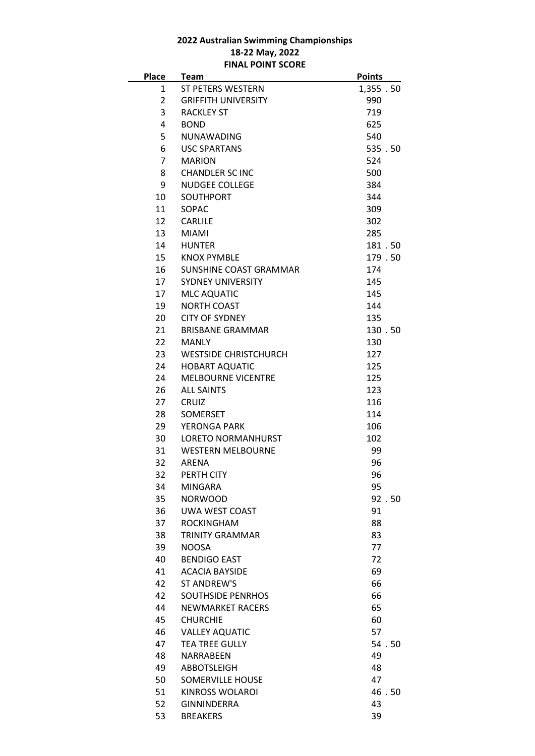## **2022 Australian Swimming Championships 18-22 May, 2022 FINAL POINT SCORE**

| <b>Place</b>   | <b>Team</b>                  | <b>Points</b> |  |
|----------------|------------------------------|---------------|--|
| 1              | ST PETERS WESTERN            | 1,355.50      |  |
| $\overline{2}$ | <b>GRIFFITH UNIVERSITY</b>   | 990           |  |
| 3              | <b>RACKLEY ST</b>            | 719           |  |
| 4              | <b>BOND</b>                  | 625           |  |
| 5              | <b>NUNAWADING</b>            | 540           |  |
| 6              | <b>USC SPARTANS</b>          | 535.50        |  |
| $\overline{7}$ | <b>MARION</b>                | 524           |  |
| 8              | <b>CHANDLER SC INC</b>       | 500           |  |
| 9              | <b>NUDGEE COLLEGE</b>        | 384           |  |
| 10             | <b>SOUTHPORT</b>             | 344           |  |
| 11             | SOPAC                        | 309           |  |
| 12             | <b>CARLILE</b>               | 302           |  |
| 13             | <b>MIAMI</b>                 | 285           |  |
| 14             | <b>HUNTER</b>                | 181.50        |  |
| 15             | <b>KNOX PYMBLE</b>           | 179.50        |  |
|                |                              |               |  |
| 16             | SUNSHINE COAST GRAMMAR       | 174           |  |
| 17             | <b>SYDNEY UNIVERSITY</b>     | 145           |  |
| 17             | <b>MLC AQUATIC</b>           | 145           |  |
| 19             | <b>NORTH COAST</b>           | 144           |  |
| 20             | <b>CITY OF SYDNEY</b>        | 135           |  |
| 21             | <b>BRISBANE GRAMMAR</b>      | 130.50        |  |
| 22             | <b>MANLY</b>                 | 130           |  |
| 23             | <b>WESTSIDE CHRISTCHURCH</b> | 127           |  |
| 24             | <b>HOBART AQUATIC</b>        | 125           |  |
| 24             | <b>MELBOURNE VICENTRE</b>    | 125           |  |
| 26             | <b>ALL SAINTS</b>            | 123           |  |
| 27             | <b>CRUIZ</b>                 | 116           |  |
| 28             | <b>SOMERSET</b>              | 114           |  |
| 29             | YERONGA PARK                 | 106           |  |
| 30             | <b>LORETO NORMANHURST</b>    | 102           |  |
| 31             | <b>WESTERN MELBOURNE</b>     | 99            |  |
| 32             | <b>ARENA</b>                 | 96            |  |
| 32             | PERTH CITY                   | 96            |  |
| 34             | <b>MINGARA</b>               | 95            |  |
| 35             | <b>NORWOOD</b>               | 92.50         |  |
| 36             | UWA WEST COAST               | 91            |  |
| 37             | <b>ROCKINGHAM</b>            | 88            |  |
| 38             | <b>TRINITY GRAMMAR</b>       | 83            |  |
| 39             | <b>NOOSA</b>                 | 77            |  |
| 40             | <b>BENDIGO EAST</b>          | 72            |  |
| 41             | <b>ACACIA BAYSIDE</b>        | 69            |  |
| 42             | ST ANDREW'S                  | 66            |  |
| 42             | <b>SOUTHSIDE PENRHOS</b>     | 66            |  |
| 44             | <b>NEWMARKET RACERS</b>      | 65            |  |
| 45             | <b>CHURCHIE</b>              | 60            |  |
| 46             | <b>VALLEY AQUATIC</b>        | 57            |  |
| 47             | <b>TEA TREE GULLY</b>        | 54.50         |  |
| 48             | NARRABEEN                    | 49            |  |
| 49             | <b>ABBOTSLEIGH</b>           | 48            |  |
| 50             | <b>SOMERVILLE HOUSE</b>      | 47            |  |
| 51             | KINROSS WOLAROI              | 46.50         |  |
| 52             | <b>GINNINDERRA</b>           | 43            |  |
|                |                              |               |  |
| 53             | <b>BREAKERS</b>              | 39            |  |